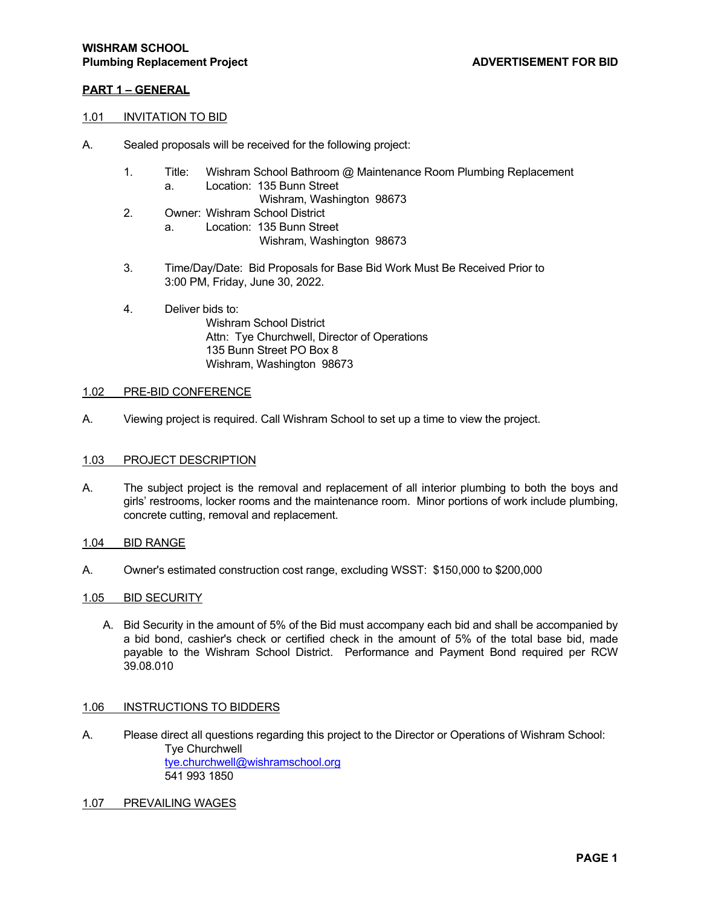## **PART 1 – GENERAL**

### 1.01 INVITATION TO BID

- A. Sealed proposals will be received for the following project:
	- 1. Title: Wishram School Bathroom @ Maintenance Room Plumbing Replacement a. Location: 135 Bunn Street
		- Wishram, Washington 98673
	- 2. Owner: Wishram School District
		- a. Location: 135 Bunn Street

Wishram, Washington 98673

- 3. Time/Day/Date: Bid Proposals for Base Bid Work Must Be Received Prior to 3:00 PM, Friday, June 30, 2022.
- 4. Deliver bids to:

 Wishram School District Attn: Tye Churchwell, Director of Operations 135 Bunn Street PO Box 8 Wishram, Washington 98673

## 1.02 PRE-BID CONFERENCE

A. Viewing project is required. Call Wishram School to set up a time to view the project.

## 1.03 PROJECT DESCRIPTION

- A. The subject project is the removal and replacement of all interior plumbing to both the boys and girls' restrooms, locker rooms and the maintenance room. Minor portions of work include plumbing, concrete cutting, removal and replacement.
- 1.04 BID RANGE
- A. Owner's estimated construction cost range, excluding WSST: \$150,000 to \$200,000

#### 1.05 BID SECURITY

A. Bid Security in the amount of 5% of the Bid must accompany each bid and shall be accompanied by a bid bond, cashier's check or certified check in the amount of 5% of the total base bid, made payable to the Wishram School District. Performance and Payment Bond required per RCW 39.08.010

#### 1.06 INSTRUCTIONS TO BIDDERS

- A. Please direct all questions regarding this project to the Director or Operations of Wishram School: Tye Churchwell tye.churchwell@wishramschool.org 541 993 1850
- 1.07 PREVAILING WAGES